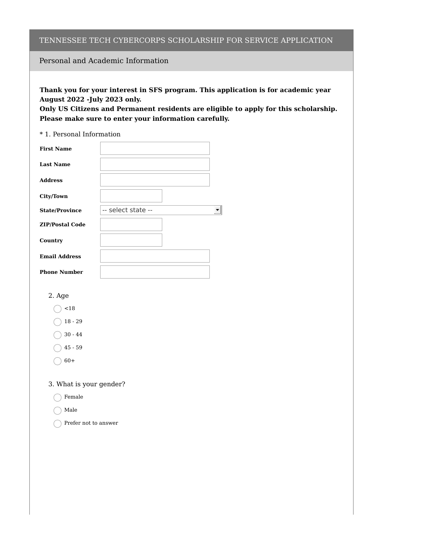### TENNESSEE TECH CYBERCORPS SCHOLARSHIP FOR SERVICE APPLICATION

## Personal and Academic Information

**Thank you for your interest in SFS program. This application is for academic year August 2022 -July 2023 only.**

**Only US Citizens and Permanent residents are eligible to apply for this scholarship. Please make sure to enter your information carefully.**

#### \* 1. Personal Information

| <b>First Name</b>      |                    |  |
|------------------------|--------------------|--|
| <b>Last Name</b>       |                    |  |
| <b>Address</b>         |                    |  |
| <b>City/Town</b>       |                    |  |
| <b>State/Province</b>  | -- select state -- |  |
| <b>ZIP/Postal Code</b> |                    |  |
| Country                |                    |  |
| <b>Email Address</b>   |                    |  |
| <b>Phone Number</b>    |                    |  |

### 2. Age

 $\bigcirc$  <18

 $( ) 18 - 29$ 

 $\bigcirc$  30 - 44

 $( ) 45 - 59$ 

 $\bigcirc$  60+

3. What is your gender?

◯ Female

Male

 $\bigcap$  Prefer not to answer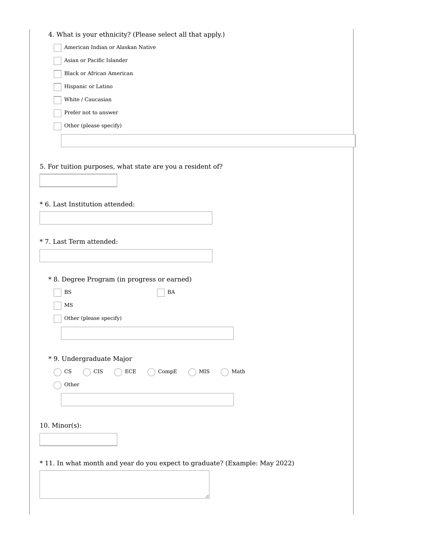| 4. What is your ethnicity? (Please select all that apply.)                                                                                                |  |
|-----------------------------------------------------------------------------------------------------------------------------------------------------------|--|
| American Indian or Alaskan Native                                                                                                                         |  |
| Asian or Pacific Islander                                                                                                                                 |  |
| <b>Black or African American</b>                                                                                                                          |  |
| Hispanic or Latino                                                                                                                                        |  |
| White / Caucasian                                                                                                                                         |  |
| Prefer not to answer                                                                                                                                      |  |
| Other (please specify)                                                                                                                                    |  |
|                                                                                                                                                           |  |
|                                                                                                                                                           |  |
| 5. For tuition purposes, what state are you a resident of?                                                                                                |  |
|                                                                                                                                                           |  |
|                                                                                                                                                           |  |
| * 6. Last Institution attended:                                                                                                                           |  |
|                                                                                                                                                           |  |
|                                                                                                                                                           |  |
| * 7. Last Term attended:                                                                                                                                  |  |
|                                                                                                                                                           |  |
|                                                                                                                                                           |  |
| * 8. Degree Program (in progress or earned)                                                                                                               |  |
| $_{\rm BS}$<br>BA                                                                                                                                         |  |
| $_{\rm MS}$                                                                                                                                               |  |
| Other (please specify)                                                                                                                                    |  |
|                                                                                                                                                           |  |
|                                                                                                                                                           |  |
| * 9. Undergraduate Major                                                                                                                                  |  |
| $\mathbb{C}\mathbf{S}$<br>$\rm ECE$<br>CompE<br>$\rm{MIS}$<br>$\operatorname*{Math}% \left( X\right) \equiv\operatorname*{Mat}% \left( X\right) ,$<br>CIS |  |
| $_{\rm Other}$                                                                                                                                            |  |
|                                                                                                                                                           |  |
|                                                                                                                                                           |  |
| $10.$ Minor(s):                                                                                                                                           |  |
|                                                                                                                                                           |  |
|                                                                                                                                                           |  |
| * 11. In what month and year do you expect to graduate? (Example: May 2022)                                                                               |  |
|                                                                                                                                                           |  |
|                                                                                                                                                           |  |
|                                                                                                                                                           |  |
|                                                                                                                                                           |  |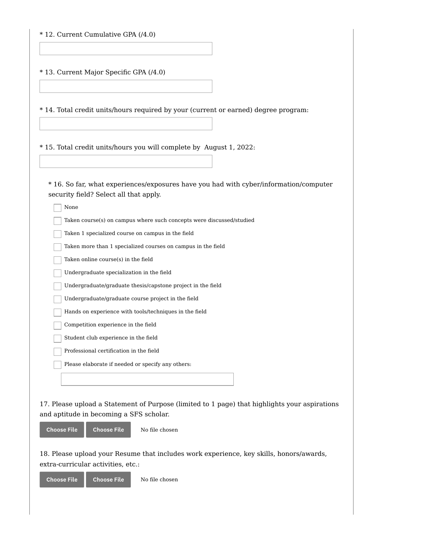| * 12. Current Cumulative GPA (/4.0)                                                                                             |  |  |
|---------------------------------------------------------------------------------------------------------------------------------|--|--|
| * 13. Current Major Specific GPA (/4.0)                                                                                         |  |  |
| * 14. Total credit units/hours required by your (current or earned) degree program:                                             |  |  |
| * 15. Total credit units/hours you will complete by August 1, 2022:                                                             |  |  |
| * 16. So far, what experiences/exposures have you had with cyber/information/computer<br>security field? Select all that apply. |  |  |
| None                                                                                                                            |  |  |
| Taken course(s) on campus where such concepts were discussed/studied                                                            |  |  |
| Taken 1 specialized course on campus in the field                                                                               |  |  |
| Taken more than 1 specialized courses on campus in the field                                                                    |  |  |
| Taken online course(s) in the field                                                                                             |  |  |
| Undergraduate specialization in the field                                                                                       |  |  |
| Undergraduate/graduate thesis/capstone project in the field                                                                     |  |  |
| Undergraduate/graduate course project in the field                                                                              |  |  |
| Hands on experience with tools/techniques in the field                                                                          |  |  |
| Competition experience in the field                                                                                             |  |  |
| Student club experience in the field                                                                                            |  |  |
| Professional certification in the field                                                                                         |  |  |
| Please elaborate if needed or specify any others:                                                                               |  |  |
|                                                                                                                                 |  |  |
|                                                                                                                                 |  |  |
| 17. Please upload a Statement of Purpose (limited to 1 page) that highlights your aspirations                                   |  |  |
| and aptitude in becoming a SFS scholar.                                                                                         |  |  |
| <b>Choose File</b><br><b>Choose File</b><br>No file chosen                                                                      |  |  |
|                                                                                                                                 |  |  |

18. Please upload your Resume that includes work experience, key skills, honors/awards, extra-curricular activities, etc.:

**Choose File Choose File** No file chosen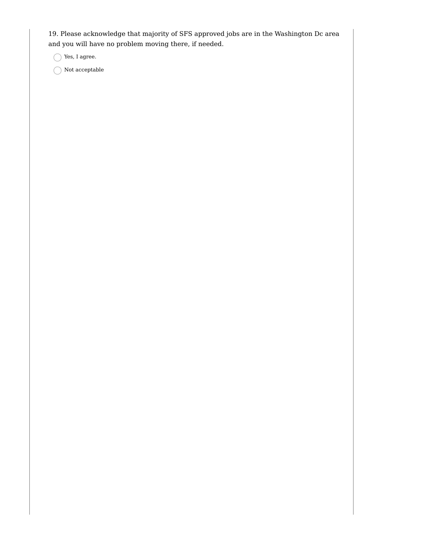19. Please acknowledge that majority of SFS approved jobs are in the Washington Dc area and you will have no problem moving there, if needed.

 $\bigcap$  Yes, I agree.

 $\bigcap$  Not acceptable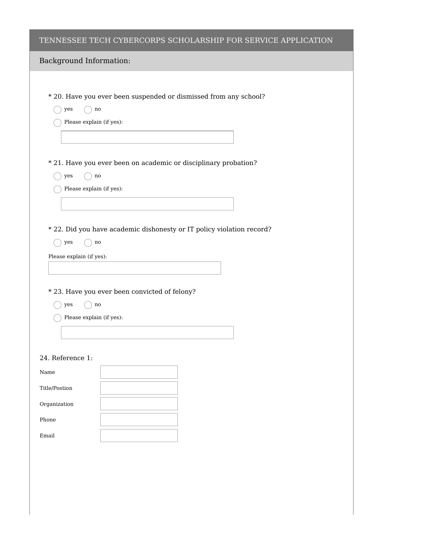### TENNESSEE TECH CYBERCORPS SCHOLARSHIP FOR SERVICE APPLICATION

| Background Information: |  |
|-------------------------|--|
|-------------------------|--|

\* 20. Have you ever been suspended or dismissed from any school?

 $\bigcirc$  yes  $\bigcirc$  no

 $\bigcap$  Please explain (if yes):

\* 21. Have you ever been on academic or disciplinary probation?

- $\bigcap$  yes  $\bigcap$  no
- Please explain (if yes):

\* 22. Did you have academic dishonesty or IT policy violation record?

 $\bigcap$  yes  $\bigcap$  no

```
Please explain (if yes):
```
- \* 23. Have you ever been convicted of felony?
	- $\bigcap$  yes  $\bigcap$  no
	- $\bigcap$  Please explain (if yes):

#### 24. Reference 1:

| Name          |  |
|---------------|--|
| Title/Postion |  |
| Organization  |  |
| Phone         |  |
| Email         |  |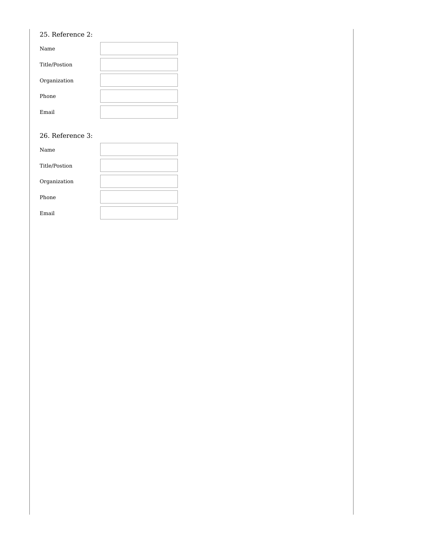# 25. Reference 2:

| Name          |  |
|---------------|--|
| Title/Postion |  |
| Organization  |  |
| Phone         |  |
| Email         |  |

### 26. Reference 3:

| 26. Reference 3: |  |
|------------------|--|
| Name             |  |
| Title/Postion    |  |
| Organization     |  |
| Phone            |  |
| Email            |  |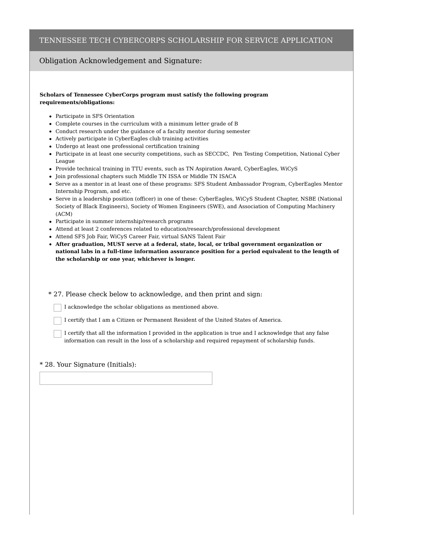#### TENNESSEE TECH CYBERCORPS SCHOLARSHIP FOR SERVICE APPLICATION

### Obligation Acknowledgement and Signature:

#### **Scholars of Tennessee CyberCorps program must satisfy the following program requirements/obligations:**

- Participate in SFS Orientation
- Complete courses in the curriculum with a minimum letter grade of B
- Conduct research under the guidance of a faculty mentor during semester
- Actively participate in CyberEagles club training activities
- Undergo at least one professional certification training
- Participate in at least one security competitions, such as SECCDC, Pen Testing Competition, National Cyber League
- Provide technical training in TTU events, such as TN Aspiration Award, CyberEagles, WiCyS
- Join professional chapters such Middle TN ISSA or Middle TN ISACA
- Serve as a mentor in at least one of these programs: SFS Student Ambassador Program, CyberEagles Mentor Internship Program, and etc.
- Serve in a leadership position (officer) in one of these: CyberEagles, WiCyS Student Chapter, NSBE (National Society of Black Engineers), Society of Women Engineers (SWE), and Association of Computing Machinery (ACM)
- Participate in summer internship/research programs
- Attend at least 2 conferences related to education/research/professional development
- Attend SFS Job Fair, WiCyS Career Fair, virtual SANS Talent Fair
- **After graduation, MUST serve at a federal, state, local, or tribal government organization or national labs in a full-time information assurance position for a period equivalent to the length of the scholarship or one year, whichever is longer.**

\* 27. Please check below to acknowledge, and then print and sign:

I acknowledge the scholar obligations as mentioned above.

I certify that I am a Citizen or Permanent Resident of the United States of America.

I certify that all the information I provided in the application is true and I acknowledge that any false information can result in the loss of a scholarship and required repayment of scholarship funds.

#### \* 28. Your Signature (Initials):